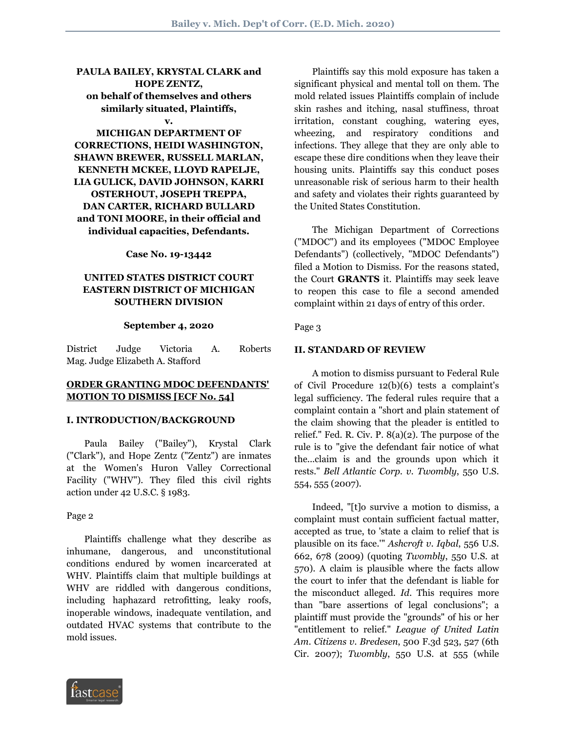# **PAULA BAILEY, KRYSTAL CLARK and HOPE ZENTZ, on behalf of themselves and others similarly situated, Plaintiffs,**

#### **v.**

**MICHIGAN DEPARTMENT OF CORRECTIONS, HEIDI WASHINGTON, SHAWN BREWER, RUSSELL MARLAN, KENNETH MCKEE, LLOYD RAPELJE, LIA GULICK, DAVID JOHNSON, KARRI OSTERHOUT, JOSEPH TREPPA, DAN CARTER, RICHARD BULLARD and TONI MOORE, in their official and individual capacities, Defendants.**

**Case No. 19-13442**

# **UNITED STATES DISTRICT COURT EASTERN DISTRICT OF MICHIGAN SOUTHERN DIVISION**

#### **September 4, 2020**

District Judge Victoria A. Roberts Mag. Judge Elizabeth A. Stafford

### **ORDER GRANTING MDOC DEFENDANTS' MOTION TO DISMISS [ECF No. 54]**

#### **I. INTRODUCTION/BACKGROUND**

 Paula Bailey ("Bailey"), Krystal Clark ("Clark"), and Hope Zentz ("Zentz") are inmates at the Women's Huron Valley Correctional Facility ("WHV"). They filed this civil rights action under 42 U.S.C. § 1983.

Page 2

 Plaintiffs challenge what they describe as inhumane, dangerous, and unconstitutional conditions endured by women incarcerated at WHV. Plaintiffs claim that multiple buildings at WHV are riddled with dangerous conditions, including haphazard retrofitting, leaky roofs, inoperable windows, inadequate ventilation, and outdated HVAC systems that contribute to the mold issues.

 Plaintiffs say this mold exposure has taken a significant physical and mental toll on them. The mold related issues Plaintiffs complain of include skin rashes and itching, nasal stuffiness, throat irritation, constant coughing, watering eyes, wheezing, and respiratory conditions and infections. They allege that they are only able to escape these dire conditions when they leave their housing units. Plaintiffs say this conduct poses unreasonable risk of serious harm to their health and safety and violates their rights guaranteed by the United States Constitution.

 The Michigan Department of Corrections ("MDOC") and its employees ("MDOC Employee Defendants") (collectively, "MDOC Defendants") filed a Motion to Dismiss. For the reasons stated, the Court **GRANTS** it. Plaintiffs may seek leave to reopen this case to file a second amended complaint within 21 days of entry of this order.

#### Page 3

#### **II. STANDARD OF REVIEW**

 A motion to dismiss pursuant to Federal Rule of Civil Procedure 12(b)(6) tests a complaint's legal sufficiency. The federal rules require that a complaint contain a "short and plain statement of the claim showing that the pleader is entitled to relief." Fed. R. Civ. P.  $8(a)(2)$ . The purpose of the rule is to "give the defendant fair notice of what the...claim is and the grounds upon which it rests." *Bell Atlantic Corp*. *v*. *Twombly*, 550 U.S. 554, 555 (2007).

 Indeed, "[t]o survive a motion to dismiss, a complaint must contain sufficient factual matter, accepted as true, to 'state a claim to relief that is plausible on its face.'" *Ashcroft v*. *Iqbal*, 556 U.S. 662, 678 (2009) (quoting *Twombly*, 550 U.S. at 570). A claim is plausible where the facts allow the court to infer that the defendant is liable for the misconduct alleged. *Id*. This requires more than "bare assertions of legal conclusions"; a plaintiff must provide the "grounds" of his or her "entitlement to relief." *League of United Latin Am*. *Citizens v*. *Bredesen*, 500 F.3d 523, 527 (6th Cir. 2007); *Twombly*, 550 U.S. at 555 (while

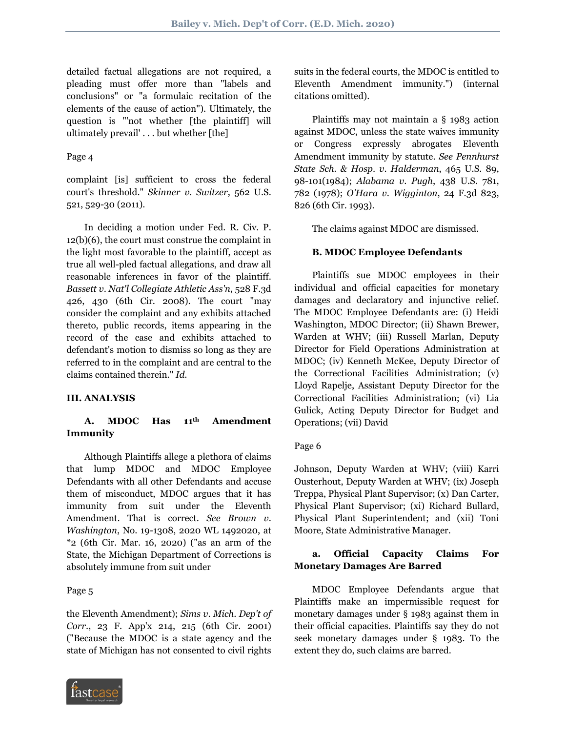detailed factual allegations are not required, a pleading must offer more than "labels and conclusions" or "a formulaic recitation of the elements of the cause of action"). Ultimately, the question is "'not whether [the plaintiff] will ultimately prevail' . . . but whether [the]

## Page 4

complaint [is] sufficient to cross the federal court's threshold." *Skinner v*. *Switzer*, 562 U.S. 521, 529-30 (2011).

 In deciding a motion under Fed. R. Civ. P. 12(b)(6), the court must construe the complaint in the light most favorable to the plaintiff, accept as true all well-pled factual allegations, and draw all reasonable inferences in favor of the plaintiff. *Bassett v*. *Nat'l Collegiate Athletic Ass'n*, 528 F.3d 426, 430 (6th Cir. 2008). The court "may consider the complaint and any exhibits attached thereto, public records, items appearing in the record of the case and exhibits attached to defendant's motion to dismiss so long as they are referred to in the complaint and are central to the claims contained therein." *Id*.

# **III. ANALYSIS**

# **A. MDOC Has 11th Amendment Immunity**

 Although Plaintiffs allege a plethora of claims that lump MDOC and MDOC Employee Defendants with all other Defendants and accuse them of misconduct, MDOC argues that it has immunity from suit under the Eleventh Amendment. That is correct. *See Brown v*. *Washington*, No. 19-1308, 2020 WL 1492020, at \*2 (6th Cir. Mar. 16, 2020) ("as an arm of the State, the Michigan Department of Corrections is absolutely immune from suit under

### Page 5

the Eleventh Amendment); *Sims v*. *Mich*. *Dep't of Corr*., 23 F. App'x 214, 215 (6th Cir. 2001) ("Because the MDOC is a state agency and the state of Michigan has not consented to civil rights



suits in the federal courts, the MDOC is entitled to Eleventh Amendment immunity.") (internal citations omitted).

 Plaintiffs may not maintain a § 1983 action against MDOC, unless the state waives immunity or Congress expressly abrogates Eleventh Amendment immunity by statute. *See Pennhurst State Sch*. *& Hosp*. *v*. *Halderman*, 465 U.S. 89, 98-101(1984); *Alabama v*. *Pugh*, 438 U.S. 781, 782 (1978); *O'Hara v*. *Wigginton*, 24 F.3d 823, 826 (6th Cir. 1993).

The claims against MDOC are dismissed.

## **B. MDOC Employee Defendants**

 Plaintiffs sue MDOC employees in their individual and official capacities for monetary damages and declaratory and injunctive relief. The MDOC Employee Defendants are: (i) Heidi Washington, MDOC Director; (ii) Shawn Brewer, Warden at WHV; (iii) Russell Marlan, Deputy Director for Field Operations Administration at MDOC; (iv) Kenneth McKee, Deputy Director of the Correctional Facilities Administration; (v) Lloyd Rapelje, Assistant Deputy Director for the Correctional Facilities Administration; (vi) Lia Gulick, Acting Deputy Director for Budget and Operations; (vii) David

### Page 6

Johnson, Deputy Warden at WHV; (viii) Karri Ousterhout, Deputy Warden at WHV; (ix) Joseph Treppa, Physical Plant Supervisor; (x) Dan Carter, Physical Plant Supervisor; (xi) Richard Bullard, Physical Plant Superintendent; and (xii) Toni Moore, State Administrative Manager.

# **a. Official Capacity Claims For Monetary Damages Are Barred**

 MDOC Employee Defendants argue that Plaintiffs make an impermissible request for monetary damages under § 1983 against them in their official capacities. Plaintiffs say they do not seek monetary damages under § 1983. To the extent they do, such claims are barred.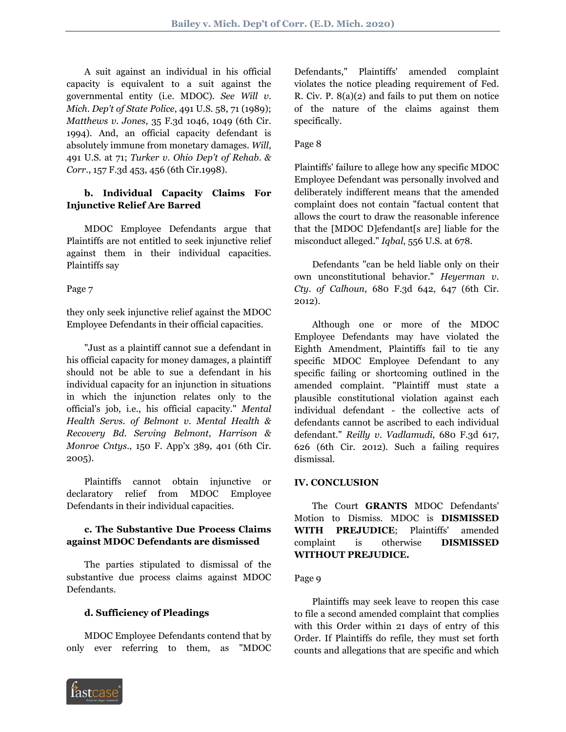A suit against an individual in his official capacity is equivalent to a suit against the governmental entity (i.e. MDOC). *See Will v*. *Mich*. *Dep't of State Police*, 491 U.S. 58, 71 (1989); *Matthews v*. *Jones*, 35 F.3d 1046, 1049 (6th Cir. 1994). And, an official capacity defendant is absolutely immune from monetary damages. *Will*, 491 U.S. at 71; *Turker v*. *Ohio Dep't of Rehab*. *& Corr*., 157 F.3d 453, 456 (6th Cir.1998).

# **b. Individual Capacity Claims For Injunctive Relief Are Barred**

 MDOC Employee Defendants argue that Plaintiffs are not entitled to seek injunctive relief against them in their individual capacities. Plaintiffs say

Page 7

they only seek injunctive relief against the MDOC Employee Defendants in their official capacities.

 "Just as a plaintiff cannot sue a defendant in his official capacity for money damages, a plaintiff should not be able to sue a defendant in his individual capacity for an injunction in situations in which the injunction relates only to the official's job, i.e., his official capacity." *Mental Health Servs*. *of Belmont v*. *Mental Health & Recovery Bd*. *Serving Belmont*, *Harrison & Monroe Cntys*., 150 F. App'x 389, 401 (6th Cir. 2005).

 Plaintiffs cannot obtain injunctive or declaratory relief from MDOC Employee Defendants in their individual capacities.

# **c. The Substantive Due Process Claims against MDOC Defendants are dismissed**

 The parties stipulated to dismissal of the substantive due process claims against MDOC Defendants.

# **d. Sufficiency of Pleadings**

 MDOC Employee Defendants contend that by only ever referring to them, as "MDOC



Defendants," Plaintiffs' amended complaint violates the notice pleading requirement of Fed. R. Civ. P. 8(a)(2) and fails to put them on notice of the nature of the claims against them specifically.

# Page 8

Plaintiffs' failure to allege how any specific MDOC Employee Defendant was personally involved and deliberately indifferent means that the amended complaint does not contain "factual content that allows the court to draw the reasonable inference that the [MDOC D]efendant[s are] liable for the misconduct alleged." *Iqbal*, 556 U.S. at 678.

 Defendants "can be held liable only on their own unconstitutional behavior." *Heyerman v*. *Cty*. *of Calhoun*, 680 F.3d 642, 647 (6th Cir. 2012).

 Although one or more of the MDOC Employee Defendants may have violated the Eighth Amendment, Plaintiffs fail to tie any specific MDOC Employee Defendant to any specific failing or shortcoming outlined in the amended complaint. "Plaintiff must state a plausible constitutional violation against each individual defendant - the collective acts of defendants cannot be ascribed to each individual defendant." *Reilly v*. *Vadlamudi*, 680 F.3d 617, 626 (6th Cir. 2012). Such a failing requires dismissal.

# **IV. CONCLUSION**

 The Court **GRANTS** MDOC Defendants' Motion to Dismiss. MDOC is **DISMISSED WITH PREJUDICE**; Plaintiffs' amended complaint is otherwise **DISMISSED WITHOUT PREJUDICE.**

# Page 9

 Plaintiffs may seek leave to reopen this case to file a second amended complaint that complies with this Order within 21 days of entry of this Order. If Plaintiffs do refile, they must set forth counts and allegations that are specific and which